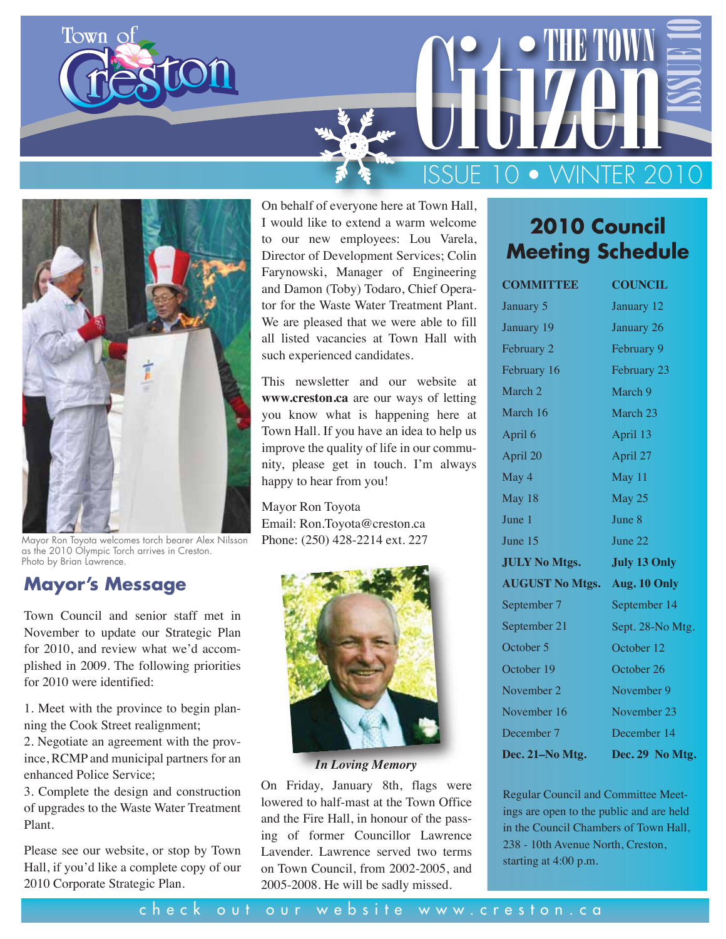



Mayor Ron Toyota welcomes torch bearer Alex Nilsson as the 2010 Olympic Torch arrives in Creston. Photo by Brian Lawrence.

### **Mayor's Message**

Town Council and senior staff met in November to update our Strategic Plan for 2010, and review what we'd accomplished in 2009. The following priorities for 2010 were identified:

1. Meet with the province to begin planning the Cook Street realignment;

2. Negotiate an agreement with the province, RCMP and municipal partners for an enhanced Police Service;

3. Complete the design and construction of upgrades to the Waste Water Treatment Plant.

Please see our website, or stop by Town Hall, if you'd like a complete copy of our 2010 Corporate Strategic Plan.

On behalf of everyone here at Town Hall, I would like to extend a warm welcome to our new employees: Lou Varela, Director of Development Services; Colin Farynowski, Manager of Engineering and Damon (Toby) Todaro, Chief Operator for the Waste Water Treatment Plant. We are pleased that we were able to fill all listed vacancies at Town Hall with such experienced candidates.

This newsletter and our website at **www.creston.ca** are our ways of letting you know what is happening here at Town Hall. If you have an idea to help us improve the quality of life in our community, please get in touch. I'm always happy to hear from you!

#### Mayor Ron Toyota

Email: Ron.Toyota@creston.ca Phone: (250) 428-2214 ext. 227



*In Loving Memory*

On Friday, January 8th, flags were lowered to half-mast at the Town Office and the Fire Hall, in honour of the passing of former Councillor Lawrence Lavender. Lawrence served two terms on Town Council, from 2002-2005, and 2005-2008. He will be sadly missed.

# **2010 Council Meeting Schedule**

ISSUE 10

CITIZEN TOWN

ISSUE 10 • WINTER 2010

| <b>COMMITTEE</b>                    | <b>COUNCIL</b>      |  |  |
|-------------------------------------|---------------------|--|--|
| January 5                           | January 12          |  |  |
| January 19                          | January 26          |  |  |
| February 2                          | February 9          |  |  |
| February 16                         | February 23         |  |  |
| March 2                             | March 9             |  |  |
| March 16                            | March 23            |  |  |
| April 6                             | April 13            |  |  |
| April 20                            | April 27            |  |  |
| May 4                               | May 11              |  |  |
| May 18                              | May 25              |  |  |
| June 1                              | June 8              |  |  |
| June 15                             | June 22             |  |  |
| <b>JULY No Mtgs.</b>                | <b>July 13 Only</b> |  |  |
| <b>AUGUST No Mtgs. Aug. 10 Only</b> |                     |  |  |
| September 7                         | September 14        |  |  |
| September 21                        | Sept. 28-No Mtg.    |  |  |
| October 5                           | October 12          |  |  |
| October 19                          | October 26          |  |  |
| November 2                          | November 9          |  |  |
| November 16                         | November 23         |  |  |
| December 7                          | December 14         |  |  |
| Dec. 21-No Mtg.                     | Dec. 29 No Mtg.     |  |  |

Regular Council and Committee Meetings are open to the public and are held in the Council Chambers of Town Hall, 238 - 10th Avenue North, Creston, starting at 4:00 p.m.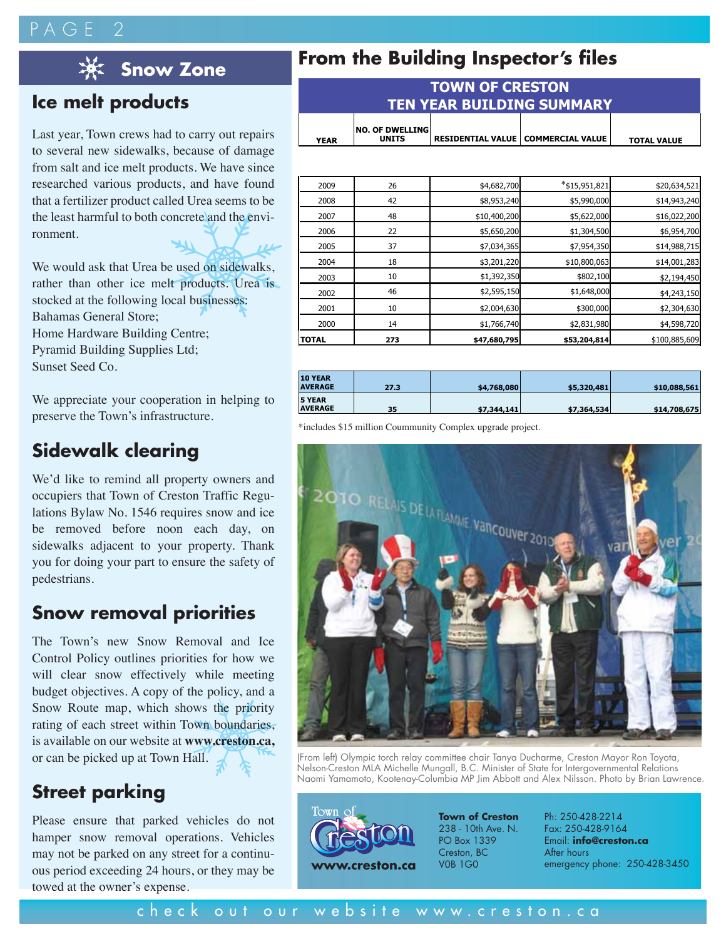# $P A G F$



### **Ice melt products**

Last year, Town crews had to carry out repairs to several new sidewalks, because of damage from salt and ice melt products. We have since researched various products, and have found that a fertilizer product called Urea seems to be the least harmful to both concrete and the environment.

We would ask that Urea be used on sidewalks, rather than other ice melt products. Urea is stocked at the following local businesses: Bahamas General Store; Home Hardware Building Centre; Pyramid Building Supplies Ltd; Sunset Seed Co.

We appreciate your cooperation in helping to preserve the Town's infrastructure.

### **Sidewalk clearing**

We'd like to remind all property owners and occupiers that Town of Creston Traffic Regulations Bylaw No. 1546 requires snow and ice be removed before noon each day, on sidewalks adjacent to your property. Thank you for doing your part to ensure the safety of pedestrians.

### **Snow removal priorities**

The Town's new Snow Removal and Ice Control Policy outlines priorities for how we will clear snow effectively while meeting budget objectives. A copy of the policy, and a Snow Route map, which shows the priority rating of each street within Town boundaries, is available on our website at **www.creston.ca,**  or can be picked up at Town Hall.

### **Street parking**

Please ensure that parked vehicles do not hamper snow removal operations. Vehicles may not be parked on any street for a continuous period exceeding 24 hours, or they may be towed at the owner's expense.

# **From the Building Inspector's files Snow Zone**

| <b>TOWN OF CRESTON</b><br><b>TEN YEAR BUILDING SUMMARY</b> |                                        |  |                                      |                    |  |  |
|------------------------------------------------------------|----------------------------------------|--|--------------------------------------|--------------------|--|--|
| <b>YEAR</b>                                                | <b>NO. OF DWELLING</b><br><b>UNITS</b> |  | RESIDENTIAL VALUE   COMMERCIAL VALUE | <b>TOTAL VALUE</b> |  |  |

| 2009         | 26  | \$4,682,700  | $*$ \$15,951,821 | \$20,634,521  |
|--------------|-----|--------------|------------------|---------------|
| 2008         | 42  | \$8,953,240  | \$5,990,000      | \$14,943,240  |
| 2007         | 48  | \$10,400,200 | \$5,622,000      | \$16,022,200  |
| 2006         | 22  | \$5,650,200  | \$1,304,500      | \$6,954,700   |
| 2005         | 37  | \$7,034,365  | \$7,954,350      | \$14,988,715  |
| 2004         | 18  | \$3,201,220  | \$10,800,063     | \$14,001,283  |
| 2003         | 10  | \$1,392,350  | \$802,100        | \$2,194,450   |
| 2002         | 46  | \$2,595,150  | \$1,648,000      | \$4,243,150   |
| 2001         | 10  | \$2,004,630  | \$300,000        | \$2,304,630   |
| 2000         | 14  | \$1,766,740  | \$2,831,980      | \$4,598,720   |
| <b>TOTAL</b> | 273 | \$47,680,795 | \$53,204,814     | \$100,885,609 |

| <b>10 YEAR</b><br><b>AVERAGE</b> | 27.3 | \$4,768,080 | \$5,320,481 | \$10,088,561 |
|----------------------------------|------|-------------|-------------|--------------|
| <b>5 YEAR</b><br><b>AVERAGE</b>  | 35   | \$7,344,141 | \$7,364,534 | \$14,708,675 |

\*includes \$15 million Coummunity Complex upgrade project.



(From left) Olympic torch relay committee chair Tanya Ducharme, Creston Mayor Ron Toyota, Nelson-Creston MLA Michelle Mungall, B.C. Minister of State for Intergovernmental Relations Naomi Yamamoto, Kootenay-Columbia MP Jim Abbott and Alex Nilsson. Photo by Brian Lawrence.



**Town of Creston** 238 - 10th Ave. N. PO Box 1339 Creston, BC

Ph: 250-428-2214 Fax: 250-428-9164 Email: **info@creston.ca** After hours emergency phone: 250-428-3450

#### check out our website www.creston.ca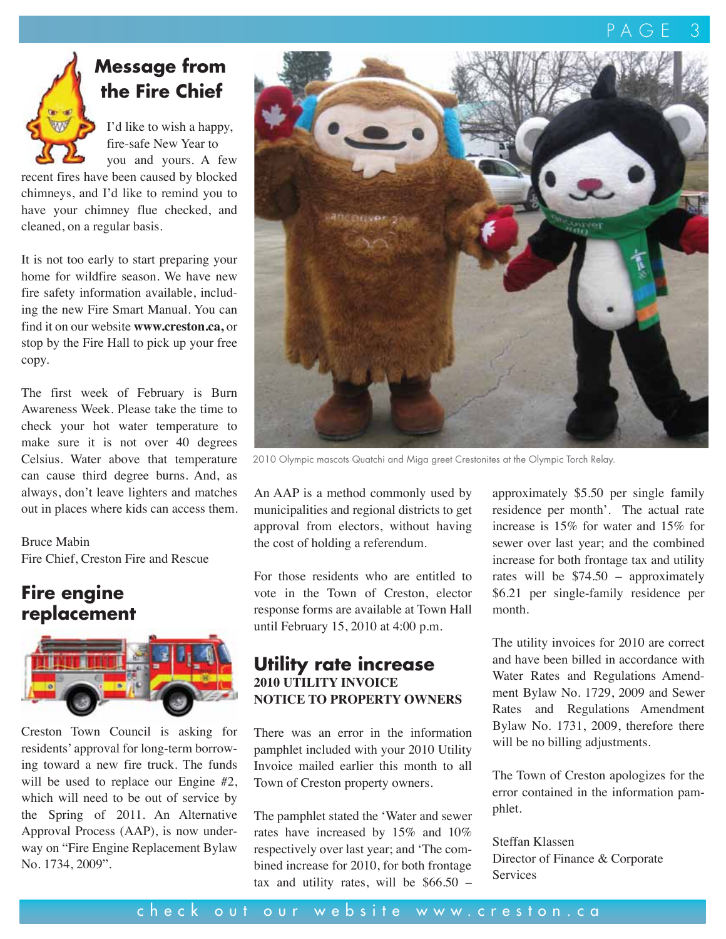

# **Message from the Fire Chief**

 I'd like to wish a happy, fire-safe New Year to you and yours. A few

recent fires have been caused by blocked chimneys, and I'd like to remind you to have your chimney flue checked, and cleaned, on a regular basis.

It is not too early to start preparing your home for wildfire season. We have new fire safety information available, including the new Fire Smart Manual. You can find it on our website **www.creston.ca,** or stop by the Fire Hall to pick up your free copy.

The first week of February is Burn Awareness Week. Please take the time to check your hot water temperature to make sure it is not over 40 degrees Celsius. Water above that temperature can cause third degree burns. And, as always, don't leave lighters and matches out in places where kids can access them.

Bruce Mabin Fire Chief, Creston Fire and Rescue

### **Fire engine replacement**



Creston Town Council is asking for residents' approval for long-term borrowing toward a new fire truck. The funds will be used to replace our Engine #2, which will need to be out of service by the Spring of 2011. An Alternative Approval Process (AAP), is now underway on "Fire Engine Replacement Bylaw No. 1734, 2009".



2010 Olympic mascots Quatchi and Miga greet Crestonites at the Olympic Torch Relay.

An AAP is a method commonly used by municipalities and regional districts to get approval from electors, without having the cost of holding a referendum.

For those residents who are entitled to vote in the Town of Creston, elector response forms are available at Town Hall until February 15, 2010 at 4:00 p.m.

#### **Utility rate increase 2010 UTILITY INVOICE NOTICE TO PROPERTY OWNERS**

There was an error in the information pamphlet included with your 2010 Utility Invoice mailed earlier this month to all Town of Creston property owners.

The pamphlet stated the 'Water and sewer rates have increased by 15% and 10% respectively over last year; and 'The combined increase for 2010, for both frontage tax and utility rates, will be  $$66.50 -$  approximately \$5.50 per single family residence per month'. The actual rate increase is 15% for water and 15% for sewer over last year; and the combined increase for both frontage tax and utility rates will be \$74.50 – approximately \$6.21 per single-family residence per month.

The utility invoices for 2010 are correct and have been billed in accordance with Water Rates and Regulations Amendment Bylaw No. 1729, 2009 and Sewer Rates and Regulations Amendment Bylaw No. 1731, 2009, therefore there will be no billing adjustments.

The Town of Creston apologizes for the error contained in the information pamphlet.

Steffan Klassen Director of Finance & Corporate Services